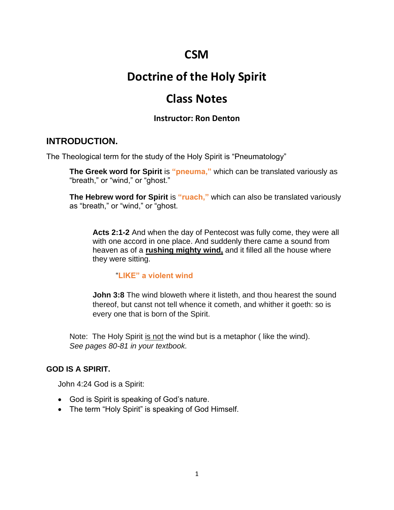# **CSM**

# **Doctrine of the Holy Spirit**

# **Class Notes**

### **Instructor: Ron Denton**

### **INTRODUCTION.**

The Theological term for the study of the Holy Spirit is "Pneumatology"

**The Greek word for Spirit** is **"pneuma,"** which can be translated variously as "breath," or "wind," or "ghost."

**The Hebrew word for Spirit** is **"ruach,"** which can also be translated variously as "breath," or "wind," or "ghost.

**Acts 2:1-2** And when the day of Pentecost was fully come, they were all with one accord in one place. And suddenly there came a sound from heaven as of a **rushing mighty wind,** and it filled all the house where they were sitting.

#### "**LIKE" a violent wind**

**John 3:8** The wind bloweth where it listeth, and thou hearest the sound thereof, but canst not tell whence it cometh, and whither it goeth: so is every one that is born of the Spirit.

Note: The Holy Spirit is not the wind but is a metaphor (like the wind). *See pages 80-81 in your textbook.*

### **GOD IS A SPIRIT.**

John 4:24 God is a Spirit:

- God is Spirit is speaking of God's nature.
- The term "Holy Spirit" is speaking of God Himself.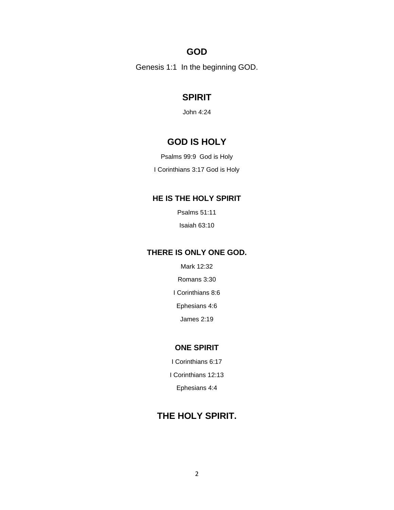### **GOD**

Genesis 1:1 In the beginning GOD.

# **SPIRIT**

John 4:24

## **GOD IS HOLY**

Psalms 99:9 God is Holy

I Corinthians 3:17 God is Holy

#### **HE IS THE HOLY SPIRIT**

Psalms 51:11

Isaiah 63:10

#### **THERE IS ONLY ONE GOD.**

Mark 12:32

Romans 3:30

I Corinthians 8:6

Ephesians 4:6

James 2:19

#### **ONE SPIRIT**

I Corinthians 6:17

I Corinthians 12:13

Ephesians 4:4

# **THE HOLY SPIRIT.**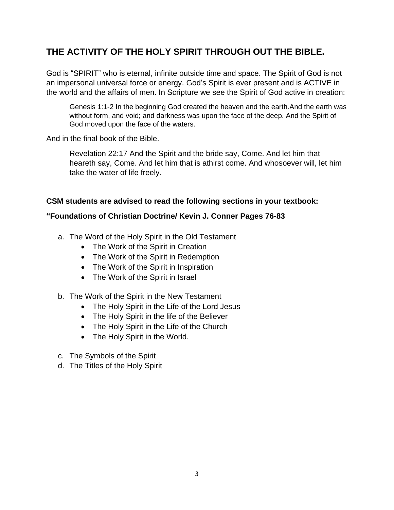# **THE ACTIVITY OF THE HOLY SPIRIT THROUGH OUT THE BIBLE.**

God is "SPIRIT" who is eternal, infinite outside time and space. The Spirit of God is not an impersonal universal force or energy. God's Spirit is ever present and is ACTIVE in the world and the affairs of men. In Scripture we see the Spirit of God active in creation:

Genesis 1:1-2 In the beginning God created the heaven and the earth.And the earth was without form, and void; and darkness was upon the face of the deep. And the Spirit of God moved upon the face of the waters.

And in the final book of the Bible.

Revelation 22:17 And the Spirit and the bride say, Come. And let him that heareth say, Come. And let him that is athirst come. And whosoever will, let him take the water of life freely.

#### **CSM students are advised to read the following sections in your textbook:**

#### **"Foundations of Christian Doctrine/ Kevin J. Conner Pages 76-83**

- a. The Word of the Holy Spirit in the Old Testament
	- The Work of the Spirit in Creation
	- The Work of the Spirit in Redemption
	- The Work of the Spirit in Inspiration
	- The Work of the Spirit in Israel
- b. The Work of the Spirit in the New Testament
	- The Holy Spirit in the Life of the Lord Jesus
	- The Holy Spirit in the life of the Believer
	- The Holy Spirit in the Life of the Church
	- The Holy Spirit in the World.
- c. The Symbols of the Spirit
- d. The Titles of the Holy Spirit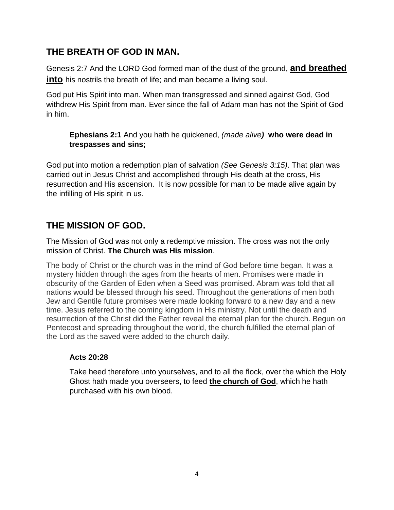# **THE BREATH OF GOD IN MAN.**

Genesis 2:7 And the LORD God formed man of the dust of the ground, **and breathed into** his nostrils the breath of life; and man became a living soul.

God put His Spirit into man. When man transgressed and sinned against God, God withdrew His Spirit from man. Ever since the fall of Adam man has not the Spirit of God in him.

**Ephesians 2:1** And you hath he quickened, *(made alive)* **who were dead in trespasses and sins;**

God put into motion a redemption plan of salvation *(See Genesis 3:15)*. That plan was carried out in Jesus Christ and accomplished through His death at the cross, His resurrection and His ascension. It is now possible for man to be made alive again by the infilling of His spirit in us.

# **THE MISSION OF GOD.**

The Mission of God was not only a redemptive mission. The cross was not the only mission of Christ. **The Church was His mission**.

The body of Christ or the church was in the mind of God before time began. It was a mystery hidden through the ages from the hearts of men. Promises were made in obscurity of the Garden of Eden when a Seed was promised. Abram was told that all nations would be blessed through his seed. Throughout the generations of men both Jew and Gentile future promises were made looking forward to a new day and a new time. Jesus referred to the coming kingdom in His ministry. Not until the death and resurrection of the Christ did the Father reveal the eternal plan for the church. Begun on Pentecost and spreading throughout the world, the church fulfilled the eternal plan of the Lord as the saved were added to the church daily.

### **Acts 20:28**

Take heed therefore unto yourselves, and to all the flock, over the which the Holy Ghost hath made you overseers, to feed **the church of God**, which he hath purchased with his own blood.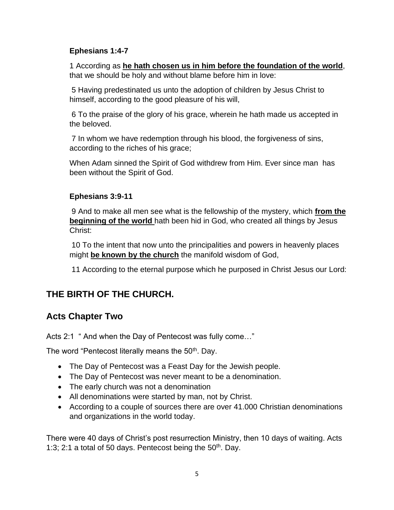### **Ephesians 1:4-7**

1 According as **he hath chosen us in him before the foundation of the world**, that we should be holy and without blame before him in love:

5 Having predestinated us unto the adoption of children by Jesus Christ to himself, according to the good pleasure of his will,

6 To the praise of the glory of his grace, wherein he hath made us accepted in the beloved.

7 In whom we have redemption through his blood, the forgiveness of sins, according to the riches of his grace;

When Adam sinned the Spirit of God withdrew from Him. Ever since man has been without the Spirit of God.

### **Ephesians 3:9-11**

9 And to make all men see what is the fellowship of the mystery, which **from the beginning of the world** hath been hid in God, who created all things by Jesus Christ:

10 To the intent that now unto the principalities and powers in heavenly places might **be known by the church** the manifold wisdom of God,

11 According to the eternal purpose which he purposed in Christ Jesus our Lord:

## **THE BIRTH OF THE CHURCH.**

## **Acts Chapter Two**

Acts 2:1 " And when the Day of Pentecost was fully come…"

The word "Pentecost literally means the  $50<sup>th</sup>$ . Day.

- The Day of Pentecost was a Feast Day for the Jewish people.
- The Day of Pentecost was never meant to be a denomination.
- The early church was not a denomination
- All denominations were started by man, not by Christ.
- According to a couple of sources there are over 41.000 Christian denominations and organizations in the world today.

There were 40 days of Christ's post resurrection Ministry, then 10 days of waiting. Acts 1:3; 2:1 a total of 50 days. Pentecost being the  $50<sup>th</sup>$ . Day.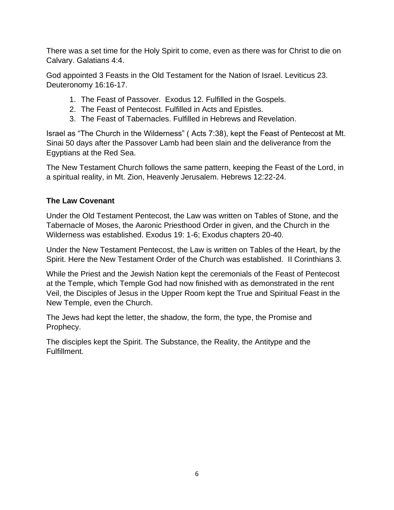There was a set time for the Holy Spirit to come, even as there was for Christ to die on Calvary. Galatians 4:4.

God appointed 3 Feasts in the Old Testament for the Nation of Israel. Leviticus 23. Deuteronomy 16:16-17.

- 1. The Feast of Passover. Exodus 12. Fulfilled in the Gospels.
- 2. The Feast of Pentecost. Fulfilled in Acts and Epistles.
- 3. The Feast of Tabernacles. Fulfilled in Hebrews and Revelation.

Israel as "The Church in the Wilderness" ( Acts 7:38), kept the Feast of Pentecost at Mt. Sinai 50 days after the Passover Lamb had been slain and the deliverance from the Egyptians at the Red Sea.

The New Testament Church follows the same pattern, keeping the Feast of the Lord, in a spiritual reality, in Mt. Zion, Heavenly Jerusalem. Hebrews 12:22-24.

### **The Law Covenant**

Under the Old Testament Pentecost, the Law was written on Tables of Stone, and the Tabernacle of Moses, the Aaronic Priesthood Order in given, and the Church in the Wilderness was established. Exodus 19: 1-6; Exodus chapters 20-40.

Under the New Testament Pentecost, the Law is written on Tables of the Heart, by the Spirit. Here the New Testament Order of the Church was established. II Corinthians 3.

While the Priest and the Jewish Nation kept the ceremonials of the Feast of Pentecost at the Temple, which Temple God had now finished with as demonstrated in the rent Veil, the Disciples of Jesus in the Upper Room kept the True and Spiritual Feast in the New Temple, even the Church.

The Jews had kept the letter, the shadow, the form, the type, the Promise and Prophecy.

The disciples kept the Spirit. The Substance, the Reality, the Antitype and the Fulfillment.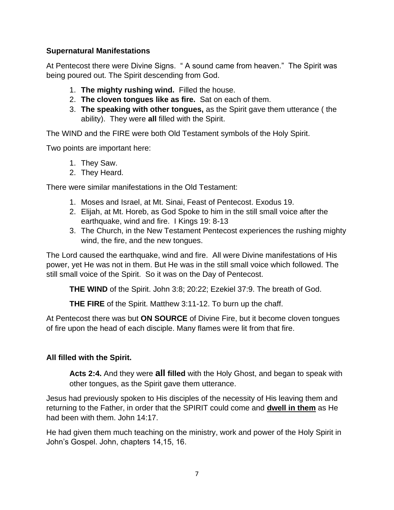### **Supernatural Manifestations**

At Pentecost there were Divine Signs. " A sound came from heaven." The Spirit was being poured out. The Spirit descending from God.

- 1. **The mighty rushing wind.** Filled the house.
- 2. **The cloven tongues like as fire.** Sat on each of them.
- 3. **The speaking with other tongues,** as the Spirit gave them utterance ( the ability). They were **all** filled with the Spirit.

The WIND and the FIRE were both Old Testament symbols of the Holy Spirit.

Two points are important here:

- 1. They Saw.
- 2. They Heard.

There were similar manifestations in the Old Testament:

- 1. Moses and Israel, at Mt. Sinai, Feast of Pentecost. Exodus 19.
- 2. Elijah, at Mt. Horeb, as God Spoke to him in the still small voice after the earthquake, wind and fire. I Kings 19: 8-13
- 3. The Church, in the New Testament Pentecost experiences the rushing mighty wind, the fire, and the new tongues.

The Lord caused the earthquake, wind and fire. All were Divine manifestations of His power, yet He was not in them. But He was in the still small voice which followed. The still small voice of the Spirit. So it was on the Day of Pentecost.

**THE WIND** of the Spirit. John 3:8; 20:22; Ezekiel 37:9. The breath of God.

**THE FIRE** of the Spirit. Matthew 3:11-12. To burn up the chaff.

At Pentecost there was but **ON SOURCE** of Divine Fire, but it become cloven tongues of fire upon the head of each disciple. Many flames were lit from that fire.

### **All filled with the Spirit.**

**Acts 2:4.** And they were **all filled** with the Holy Ghost, and began to speak with other tongues, as the Spirit gave them utterance.

Jesus had previously spoken to His disciples of the necessity of His leaving them and returning to the Father, in order that the SPIRIT could come and **dwell in them** as He had been with them. John 14:17.

He had given them much teaching on the ministry, work and power of the Holy Spirit in John's Gospel. John, chapters 14,15, 16.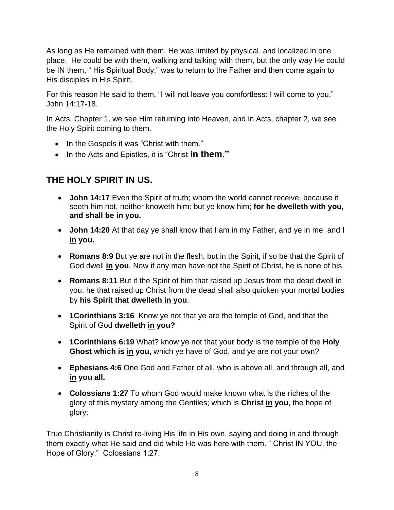As long as He remained with them, He was limited by physical, and localized in one place. He could be with them, walking and talking with them, but the only way He could be IN them, " His Spiritual Body," was to return to the Father and then come again to His disciples in His Spirit.

For this reason He said to them, "I will not leave you comfortless: I will come to you." John 14:17-18.

In Acts, Chapter 1, we see Him returning into Heaven, and in Acts, chapter 2, we see the Holy Spirit coming to them.

- In the Gospels it was "Christ with them."
- In the Acts and Epistles, it is "Christ **in them."**

## **THE HOLY SPIRIT IN US.**

- **John 14:17** Even the Spirit of truth; whom the world cannot receive, because it seeth him not, neither knoweth him: but ye know him; **for he dwelleth with you, and shall be in you.**
- **John 14:20** At that day ye shall know that I am in my Father, and ye in me, and **I in you.**
- **Romans 8:9** But ye are not in the flesh, but in the Spirit, if so be that the Spirit of God dwell **in you**. Now if any man have not the Spirit of Christ, he is none of his.
- **Romans 8:11** But if the Spirit of him that raised up Jesus from the dead dwell in you, he that raised up Christ from the dead shall also quicken your mortal bodies by **his Spirit that dwelleth in you**.
- **1Corinthians 3:16** Know ye not that ye are the temple of God, and that the Spirit of God **dwelleth in you?**
- **1Corinthians 6:19** What? know ye not that your body is the temple of the **Holy Ghost which is in you,** which ye have of God, and ye are not your own?
- **Ephesians 4:6** One God and Father of all, who is above all, and through all, and **in you all.**
- **Colossians 1:27** To whom God would make known what is the riches of the glory of this mystery among the Gentiles; which is **Christ in you**, the hope of glory:

True Christianity is Christ re-living His life in His own, saying and doing in and through them exactly what He said and did while He was here with them. " Christ IN YOU, the Hope of Glory." Colossians 1:27.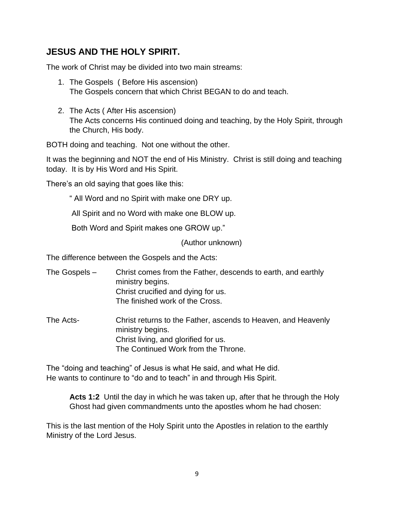# **JESUS AND THE HOLY SPIRIT.**

The work of Christ may be divided into two main streams:

- 1. The Gospels ( Before His ascension) The Gospels concern that which Christ BEGAN to do and teach.
- 2. The Acts ( After His ascension) The Acts concerns His continued doing and teaching, by the Holy Spirit, through the Church, His body.

BOTH doing and teaching. Not one without the other.

It was the beginning and NOT the end of His Ministry. Christ is still doing and teaching today. It is by His Word and His Spirit.

There's an old saying that goes like this:

" All Word and no Spirit with make one DRY up.

All Spirit and no Word with make one BLOW up.

Both Word and Spirit makes one GROW up."

(Author unknown)

The difference between the Gospels and the Acts:

- The Gospels Christ comes from the Father, descends to earth, and earthly ministry begins. Christ crucified and dying for us. The finished work of the Cross.
- The Acts- Christ returns to the Father, ascends to Heaven, and Heavenly ministry begins. Christ living, and glorified for us. The Continued Work from the Throne.

The "doing and teaching" of Jesus is what He said, and what He did. He wants to continure to "do and to teach" in and through His Spirit.

**Acts 1:2** Until the day in which he was taken up, after that he through the Holy Ghost had given commandments unto the apostles whom he had chosen:

This is the last mention of the Holy Spirit unto the Apostles in relation to the earthly Ministry of the Lord Jesus.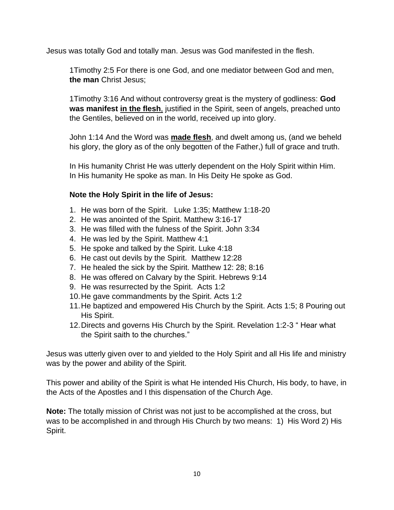Jesus was totally God and totally man. Jesus was God manifested in the flesh.

1Timothy 2:5 For there is one God, and one mediator between God and men, **the man** Christ Jesus;

1Timothy 3:16 And without controversy great is the mystery of godliness: **God was manifest in the flesh**, justified in the Spirit, seen of angels, preached unto the Gentiles, believed on in the world, received up into glory.

John 1:14 And the Word was **made flesh**, and dwelt among us, (and we beheld his glory, the glory as of the only begotten of the Father,) full of grace and truth.

In His humanity Christ He was utterly dependent on the Holy Spirit within Him. In His humanity He spoke as man. In His Deity He spoke as God.

### **Note the Holy Spirit in the life of Jesus:**

- 1. He was born of the Spirit. Luke 1:35; Matthew 1:18-20
- 2. He was anointed of the Spirit. Matthew 3:16-17
- 3. He was filled with the fulness of the Spirit. John 3:34
- 4. He was led by the Spirit. Matthew 4:1
- 5. He spoke and talked by the Spirit. Luke 4:18
- 6. He cast out devils by the Spirit. Matthew 12:28
- 7. He healed the sick by the Spirit. Matthew 12: 28; 8:16
- 8. He was offered on Calvary by the Spirit. Hebrews 9:14
- 9. He was resurrected by the Spirit. Acts 1:2
- 10.He gave commandments by the Spirit. Acts 1:2
- 11.He baptized and empowered His Church by the Spirit. Acts 1:5; 8 Pouring out His Spirit.
- 12.Directs and governs His Church by the Spirit. Revelation 1:2-3 " Hear what the Spirit saith to the churches."

Jesus was utterly given over to and yielded to the Holy Spirit and all His life and ministry was by the power and ability of the Spirit.

This power and ability of the Spirit is what He intended His Church, His body, to have, in the Acts of the Apostles and I this dispensation of the Church Age.

**Note:** The totally mission of Christ was not just to be accomplished at the cross, but was to be accomplished in and through His Church by two means: 1) His Word 2) His Spirit.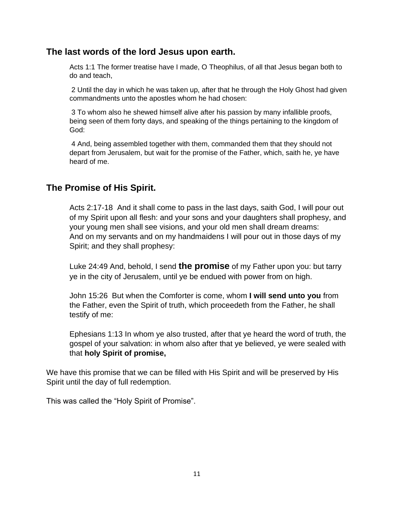### **The last words of the lord Jesus upon earth.**

Acts 1:1 The former treatise have I made, O Theophilus, of all that Jesus began both to do and teach,

2 Until the day in which he was taken up, after that he through the Holy Ghost had given commandments unto the apostles whom he had chosen:

3 To whom also he shewed himself alive after his passion by many infallible proofs, being seen of them forty days, and speaking of the things pertaining to the kingdom of God:

4 And, being assembled together with them, commanded them that they should not depart from Jerusalem, but wait for the promise of the Father, which, saith he, ye have heard of me.

### **The Promise of His Spirit.**

Acts 2:17-18 And it shall come to pass in the last days, saith God, I will pour out of my Spirit upon all flesh: and your sons and your daughters shall prophesy, and your young men shall see visions, and your old men shall dream dreams: And on my servants and on my handmaidens I will pour out in those days of my Spirit; and they shall prophesy:

Luke 24:49 And, behold, I send **the promise** of my Father upon you: but tarry ye in the city of Jerusalem, until ye be endued with power from on high.

John 15:26 But when the Comforter is come, whom **I will send unto you** from the Father, even the Spirit of truth, which proceedeth from the Father, he shall testify of me:

Ephesians 1:13 In whom ye also trusted, after that ye heard the word of truth, the gospel of your salvation: in whom also after that ye believed, ye were sealed with that **holy Spirit of promise,**

We have this promise that we can be filled with His Spirit and will be preserved by His Spirit until the day of full redemption.

This was called the "Holy Spirit of Promise".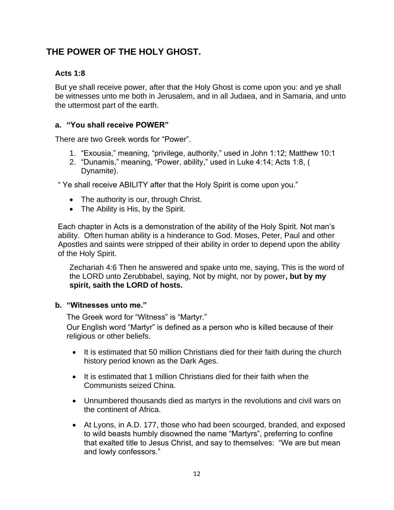# **THE POWER OF THE HOLY GHOST.**

### **Acts 1:8**

But ye shall receive power, after that the Holy Ghost is come upon you: and ye shall be witnesses unto me both in Jerusalem, and in all Judaea, and in Samaria, and unto the uttermost part of the earth.

#### **a. "You shall receive POWER"**

There are two Greek words for "Power".

- 1. "Exousia," meaning, "privilege, authority," used in John 1:12; Matthew 10:1
- 2. "Dunamis," meaning, "Power, ability," used in Luke 4:14; Acts 1:8, ( Dynamite).

" Ye shall receive ABILITY after that the Holy Spirit is come upon you."

- The authority is our, through Christ.
- The Ability is His, by the Spirit.

Each chapter in Acts is a demonstration of the ability of the Holy Spirit. Not man's ability. Often human ability is a hinderance to God. Moses, Peter, Paul and other Apostles and saints were stripped of their ability in order to depend upon the ability of the Holy Spirit.

Zechariah 4:6 Then he answered and spake unto me, saying, This is the word of the LORD unto Zerubbabel, saying, Not by might, nor by power**, but by my spirit, saith the LORD of hosts.**

#### **b. "Witnesses unto me."**

The Greek word for "Witness" is "Martyr."

Our English word "Martyr" is defined as a person who is killed because of their religious or other beliefs.

- It is estimated that 50 million Christians died for their faith during the church history period known as the Dark Ages.
- It is estimated that 1 million Christians died for their faith when the Communists seized China.
- Unnumbered thousands died as martyrs in the revolutions and civil wars on the continent of Africa.
- At Lyons, in A.D. 177, those who had been scourged, branded, and exposed to wild beasts humbly disowned the name "Martyrs", preferring to confine that exalted title to Jesus Christ, and say to themselves: "We are but mean and lowly confessors."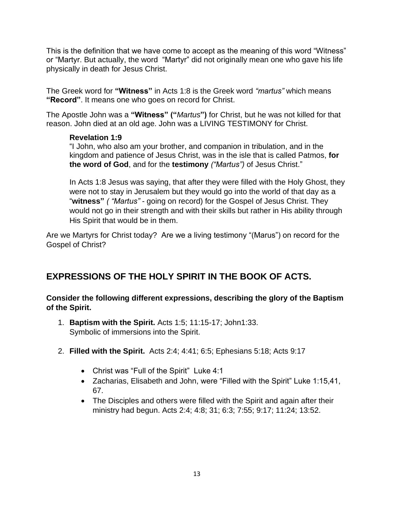This is the definition that we have come to accept as the meaning of this word "Witness" or "Martyr. But actually, the word "Martyr" did not originally mean one who gave his life physically in death for Jesus Christ.

The Greek word for **"Witness"** in Acts 1:8 is the Greek word *"martus"* which means **"Record"**. It means one who goes on record for Christ.

The Apostle John was a **"Witness" ("***Martus***")** for Christ, but he was not killed for that reason. John died at an old age. John was a LIVING TESTIMONY for Christ.

#### **Revelation 1:9**

"I John, who also am your brother, and companion in tribulation, and in the kingdom and patience of Jesus Christ, was in the isle that is called Patmos, **for the word of God**, and for the **testimony** *("Martus")* of Jesus Christ."

In Acts 1:8 Jesus was saying, that after they were filled with the Holy Ghost, they were not to stay in Jerusalem but they would go into the world of that day as a "**witness"** *( "Martus"* - going on record) for the Gospel of Jesus Christ. They would not go in their strength and with their skills but rather in His ability through His Spirit that would be in them.

Are we Martyrs for Christ today? Are we a living testimony "(Marus") on record for the Gospel of Christ?

# **EXPRESSIONS OF THE HOLY SPIRIT IN THE BOOK OF ACTS.**

**Consider the following different expressions, describing the glory of the Baptism of the Spirit.**

- 1. **Baptism with the Spirit.** Acts 1:5; 11:15-17; John1:33. Symbolic of immersions into the Spirit.
- 2. **Filled with the Spirit.** Acts 2:4; 4:41; 6:5; Ephesians 5:18; Acts 9:17
	- Christ was "Full of the Spirit" Luke 4:1
	- Zacharias, Elisabeth and John, were "Filled with the Spirit" Luke 1:15,41, 67.
	- The Disciples and others were filled with the Spirit and again after their ministry had begun. Acts 2:4; 4:8; 31; 6:3; 7:55; 9:17; 11:24; 13:52.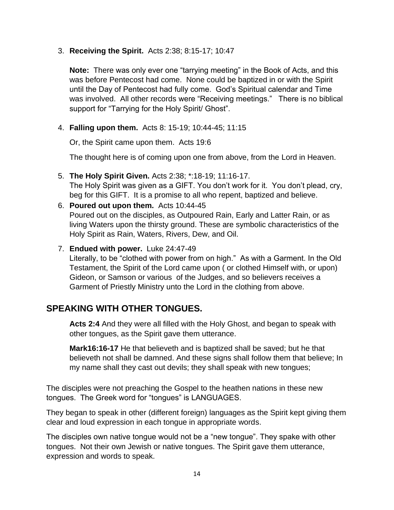#### 3. **Receiving the Spirit.** Acts 2:38; 8:15-17; 10:47

**Note:** There was only ever one "tarrying meeting" in the Book of Acts, and this was before Pentecost had come. None could be baptized in or with the Spirit until the Day of Pentecost had fully come. God's Spiritual calendar and Time was involved. All other records were "Receiving meetings." There is no biblical support for "Tarrying for the Holy Spirit/ Ghost".

4. **Falling upon them.** Acts 8: 15-19; 10:44-45; 11:15

Or, the Spirit came upon them. Acts 19:6

The thought here is of coming upon one from above, from the Lord in Heaven.

- 5. **The Holy Spirit Given.** Acts 2:38; \*:18-19; 11:16-17. The Holy Spirit was given as a GIFT. You don't work for it. You don't plead, cry, beg for this GIFT. It is a promise to all who repent, baptized and believe.
- 6. **Poured out upon them.** Acts 10:44-45 Poured out on the disciples, as Outpoured Rain, Early and Latter Rain, or as living Waters upon the thirsty ground. These are symbolic characteristics of the Holy Spirit as Rain, Waters, Rivers, Dew, and Oil.
- 7. **Endued with power.** Luke 24:47-49

Literally, to be "clothed with power from on high." As with a Garment. In the Old Testament, the Spirit of the Lord came upon ( or clothed Himself with, or upon) Gideon, or Samson or various of the Judges, and so believers receives a Garment of Priestly Ministry unto the Lord in the clothing from above.

## **SPEAKING WITH OTHER TONGUES.**

**Acts 2:4** And they were all filled with the Holy Ghost, and began to speak with other tongues, as the Spirit gave them utterance.

**Mark16:16-17** He that believeth and is baptized shall be saved; but he that believeth not shall be damned. And these signs shall follow them that believe; In my name shall they cast out devils; they shall speak with new tongues;

The disciples were not preaching the Gospel to the heathen nations in these new tongues. The Greek word for "tongues" is LANGUAGES.

They began to speak in other (different foreign) languages as the Spirit kept giving them clear and loud expression in each tongue in appropriate words.

The disciples own native tongue would not be a "new tongue". They spake with other tongues. Not their own Jewish or native tongues. The Spirit gave them utterance, expression and words to speak.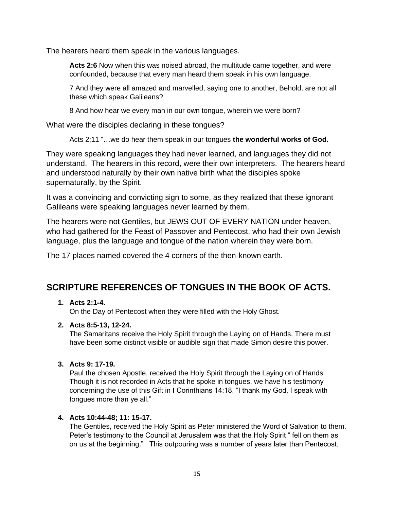The hearers heard them speak in the various languages.

**Acts 2:6** Now when this was noised abroad, the multitude came together, and were confounded, because that every man heard them speak in his own language.

7 And they were all amazed and marvelled, saying one to another, Behold, are not all these which speak Galileans?

8 And how hear we every man in our own tongue, wherein we were born?

What were the disciples declaring in these tongues?

Acts 2:11 "…we do hear them speak in our tongues **the wonderful works of God.**

They were speaking languages they had never learned, and languages they did not understand. The hearers in this record, were their own interpreters. The hearers heard and understood naturally by their own native birth what the disciples spoke supernaturally, by the Spirit.

It was a convincing and convicting sign to some, as they realized that these ignorant Galileans were speaking languages never learned by them.

The hearers were not Gentiles, but JEWS OUT OF EVERY NATION under heaven, who had gathered for the Feast of Passover and Pentecost, who had their own Jewish language, plus the language and tongue of the nation wherein they were born.

The 17 places named covered the 4 corners of the then-known earth.

## **SCRIPTURE REFERENCES OF TONGUES IN THE BOOK OF ACTS.**

#### **1. Acts 2:1-4.**

On the Day of Pentecost when they were filled with the Holy Ghost.

#### **2. Acts 8:5-13, 12-24.**

The Samaritans receive the Holy Spirit through the Laying on of Hands. There must have been some distinct visible or audible sign that made Simon desire this power.

#### **3. Acts 9: 17-19.**

Paul the chosen Apostle, received the Holy Spirit through the Laying on of Hands. Though it is not recorded in Acts that he spoke in tongues, we have his testimony concerning the use of this Gift in I Corinthians 14:18, "I thank my God, I speak with tongues more than ye all."

#### **4. Acts 10:44-48; 11: 15-17.**

The Gentiles, received the Holy Spirit as Peter ministered the Word of Salvation to them. Peter's testimony to the Council at Jerusalem was that the Holy Spirit " fell on them as on us at the beginning." This outpouring was a number of years later than Pentecost.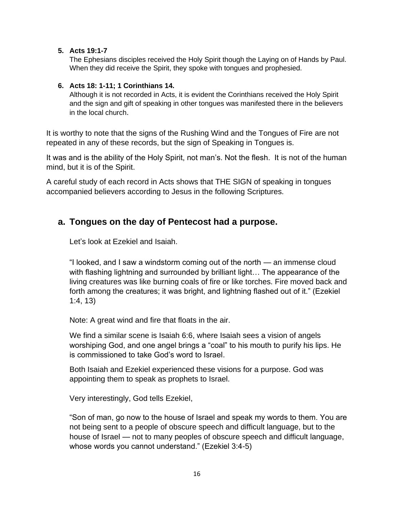#### **5. Acts 19:1-7**

The Ephesians disciples received the Holy Spirit though the Laying on of Hands by Paul. When they did receive the Spirit, they spoke with tongues and prophesied.

#### **6. Acts 18: 1-11; 1 Corinthians 14.**

Although it is not recorded in Acts, it is evident the Corinthians received the Holy Spirit and the sign and gift of speaking in other tongues was manifested there in the believers in the local church.

It is worthy to note that the signs of the Rushing Wind and the Tongues of Fire are not repeated in any of these records, but the sign of Speaking in Tongues is.

It was and is the ability of the Holy Spirit, not man's. Not the flesh. It is not of the human mind, but it is of the Spirit.

A careful study of each record in Acts shows that THE SIGN of speaking in tongues accompanied believers according to Jesus in the following Scriptures.

### **a. Tongues on the day of Pentecost had a purpose.**

Let's look at Ezekiel and Isaiah.

"I looked, and I saw a windstorm coming out of the north — an immense cloud with flashing lightning and surrounded by brilliant light… The appearance of the living creatures was like burning coals of fire or like torches. Fire moved back and forth among the creatures; it was bright, and lightning flashed out of it." (Ezekiel 1:4, 13)

Note: A great wind and fire that floats in the air.

We find a similar scene is Isaiah 6:6, where Isaiah sees a vision of angels worshiping God, and one angel brings a "coal" to his mouth to purify his lips. He is commissioned to take God's word to Israel.

Both Isaiah and Ezekiel experienced these visions for a purpose. God was appointing them to speak as prophets to Israel.

Very interestingly, God tells Ezekiel,

"Son of man, go now to the house of Israel and speak my words to them. You are not being sent to a people of obscure speech and difficult language, but to the house of Israel — not to many peoples of obscure speech and difficult language, whose words you cannot understand." (Ezekiel 3:4-5)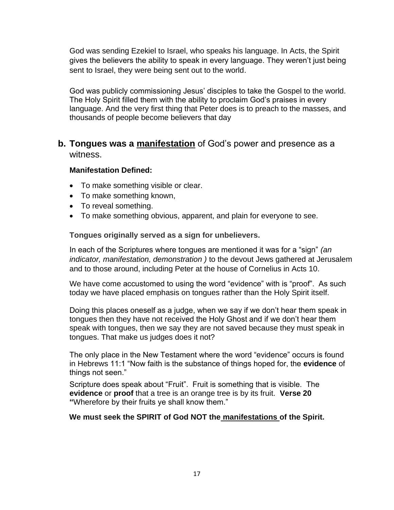God was sending Ezekiel to Israel, who speaks his language. In Acts, the Spirit gives the believers the ability to speak in every language. They weren't just being sent to Israel, they were being sent out to the world.

God was publicly commissioning Jesus' disciples to take the Gospel to the world. The Holy Spirit filled them with the ability to proclaim God's praises in every language. And the very first thing that Peter does is to preach to the masses, and thousands of people become believers that day

### **b. Tongues was a manifestation** of God's power and presence as a witness.

#### **Manifestation Defined:**

- To make something visible or clear.
- To make something known,
- To reveal something.
- To make something obvious, apparent, and plain for everyone to see.

#### **Tongues originally served as a sign for unbelievers.**

In each of the Scriptures where tongues are mentioned it was for a "sign" *(an indicator, manifestation, demonstration )* to the devout Jews gathered at Jerusalem and to those around, including Peter at the house of Cornelius in Acts 10.

We have come accustomed to using the word "evidence" with is "proof". As such today we have placed emphasis on tongues rather than the Holy Spirit itself.

Doing this places oneself as a judge, when we say if we don't hear them speak in tongues then they have not received the Holy Ghost and if we don't hear them speak with tongues, then we say they are not saved because they must speak in tongues. That make us judges does it not?

The only place in the New Testament where the word "evidence" occurs is found in Hebrews 11:1 "Now faith is the substance of things hoped for, the **evidence** of things not seen."

Scripture does speak about "Fruit". Fruit is something that is visible. The **evidence** or **proof** that a tree is an orange tree is by its fruit. **Verse 20 "**Wherefore by their fruits ye shall know them."

#### **We must seek the SPIRIT of God NOT the manifestations of the Spirit.**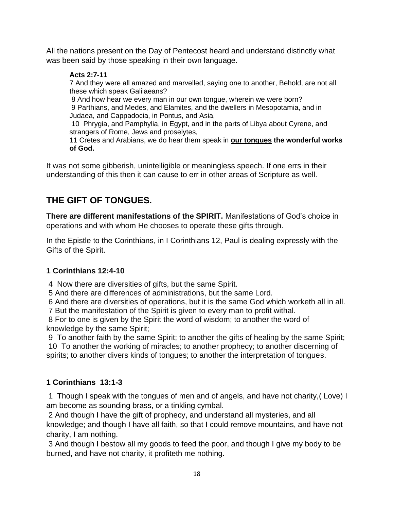All the nations present on the Day of Pentecost heard and understand distinctly what was been said by those speaking in their own language.

### **Acts 2:7-11**

7 And they were all amazed and marvelled, saying one to another, Behold, are not all these which speak Galilaeans?

8 And how hear we every man in our own tongue, wherein we were born? 9 Parthians, and Medes, and Elamites, and the dwellers in Mesopotamia, and in Judaea, and Cappadocia, in Pontus, and Asia,

10 Phrygia, and Pamphylia, in Egypt, and in the parts of Libya about Cyrene, and strangers of Rome, Jews and proselytes,

11 Cretes and Arabians, we do hear them speak in **our tongues the wonderful works of God.**

It was not some gibberish, unintelligible or meaningless speech. If one errs in their understanding of this then it can cause to err in other areas of Scripture as well.

# **THE GIFT OF TONGUES.**

**There are different manifestations of the SPIRIT.** Manifestations of God's choice in operations and with whom He chooses to operate these gifts through.

In the Epistle to the Corinthians, in I Corinthians 12, Paul is dealing expressly with the Gifts of the Spirit.

### **1 Corinthians 12:4-10**

4 Now there are diversities of gifts, but the same Spirit.

5 And there are differences of administrations, but the same Lord.

6 And there are diversities of operations, but it is the same God which worketh all in all. 7 But the manifestation of the Spirit is given to every man to profit withal.

8 For to one is given by the Spirit the word of wisdom; to another the word of knowledge by the same Spirit;

9 To another faith by the same Spirit; to another the gifts of healing by the same Spirit; 10 To another the working of miracles; to another prophecy; to another discerning of spirits; to another divers kinds of tongues; to another the interpretation of tongues.

### **1 Corinthians 13:1-3**

1 Though I speak with the tongues of men and of angels, and have not charity,( Love) I am become as sounding brass, or a tinkling cymbal.

2 And though I have the gift of prophecy, and understand all mysteries, and all knowledge; and though I have all faith, so that I could remove mountains, and have not charity, I am nothing.

3 And though I bestow all my goods to feed the poor, and though I give my body to be burned, and have not charity, it profiteth me nothing.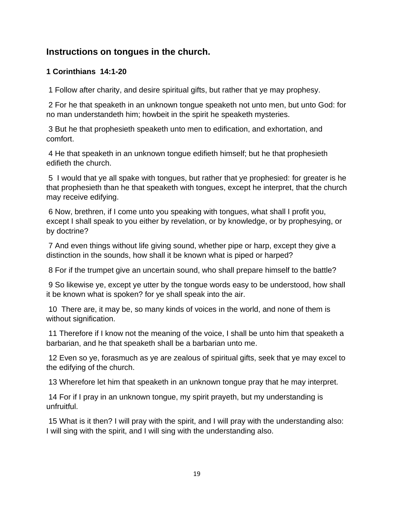## **Instructions on tongues in the church.**

### **1 Corinthians 14:1-20**

1 Follow after charity, and desire spiritual gifts, but rather that ye may prophesy.

2 For he that speaketh in an unknown tongue speaketh not unto men, but unto God: for no man understandeth him; howbeit in the spirit he speaketh mysteries.

3 But he that prophesieth speaketh unto men to edification, and exhortation, and comfort.

4 He that speaketh in an unknown tongue edifieth himself; but he that prophesieth edifieth the church.

5 I would that ye all spake with tongues, but rather that ye prophesied: for greater is he that prophesieth than he that speaketh with tongues, except he interpret, that the church may receive edifying.

6 Now, brethren, if I come unto you speaking with tongues, what shall I profit you, except I shall speak to you either by revelation, or by knowledge, or by prophesying, or by doctrine?

7 And even things without life giving sound, whether pipe or harp, except they give a distinction in the sounds, how shall it be known what is piped or harped?

8 For if the trumpet give an uncertain sound, who shall prepare himself to the battle?

9 So likewise ye, except ye utter by the tongue words easy to be understood, how shall it be known what is spoken? for ye shall speak into the air.

10 There are, it may be, so many kinds of voices in the world, and none of them is without signification.

11 Therefore if I know not the meaning of the voice, I shall be unto him that speaketh a barbarian, and he that speaketh shall be a barbarian unto me.

12 Even so ye, forasmuch as ye are zealous of spiritual gifts, seek that ye may excel to the edifying of the church.

13 Wherefore let him that speaketh in an unknown tongue pray that he may interpret.

14 For if I pray in an unknown tongue, my spirit prayeth, but my understanding is unfruitful.

15 What is it then? I will pray with the spirit, and I will pray with the understanding also: I will sing with the spirit, and I will sing with the understanding also.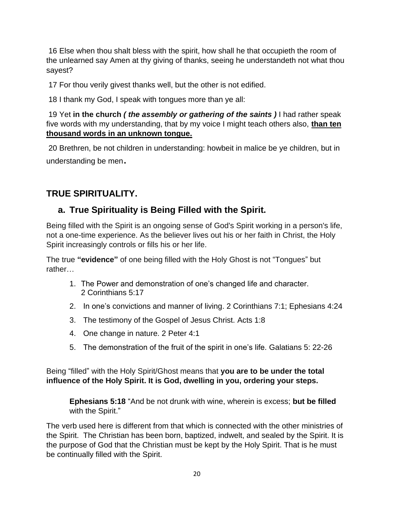16 Else when thou shalt bless with the spirit, how shall he that occupieth the room of the unlearned say Amen at thy giving of thanks, seeing he understandeth not what thou sayest?

17 For thou verily givest thanks well, but the other is not edified.

18 I thank my God, I speak with tongues more than ye all:

19 Yet **in the church** *( the assembly or gathering of the saints )* I had rather speak five words with my understanding, that by my voice I might teach others also, **than ten thousand words in an unknown tongue.**

20 Brethren, be not children in understanding: howbeit in malice be ye children, but in understanding be men.

# **TRUE SPIRITUALITY.**

# **a. True Spirituality is Being Filled with the Spirit.**

Being filled with the Spirit is an ongoing sense of God's Spirit working in a person's life, not a one-time experience. As the believer lives out his or her faith in Christ, the Holy Spirit increasingly controls or fills his or her life.

The true **"evidence"** of one being filled with the Holy Ghost is not "Tongues" but rather…

- 1. The Power and demonstration of one's changed life and character. 2 Corinthians 5:17
- 2. In one's convictions and manner of living. 2 Corinthians 7:1; Ephesians 4:24
- 3. The testimony of the Gospel of Jesus Christ. Acts 1:8
- 4. One change in nature. 2 Peter 4:1
- 5. The demonstration of the fruit of the spirit in one's life. Galatians 5: 22-26

Being "filled" with the Holy Spirit/Ghost means that **you are to be under the total influence of the Holy Spirit. It is God, dwelling in you, ordering your steps.**

**Ephesians 5:18** "And be not drunk with wine, wherein is excess; **but be filled**  with the Spirit."

The verb used here is different from that which is connected with the other ministries of the Spirit. The Christian has been born, baptized, indwelt, and sealed by the Spirit. It is the purpose of God that the Christian must be kept by the Holy Spirit. That is he must be continually filled with the Spirit.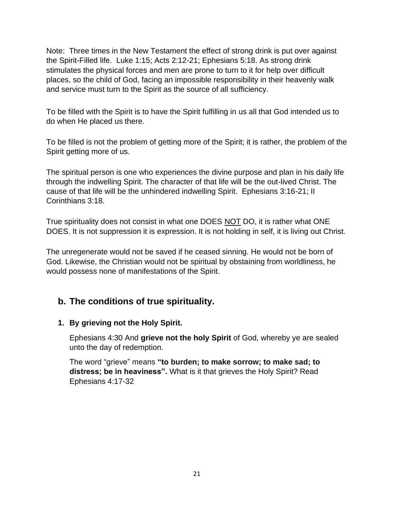Note: Three times in the New Testament the effect of strong drink is put over against the Spirit-Filled life. Luke 1:15; Acts 2:12-21; Ephesians 5:18. As strong drink stimulates the physical forces and men are prone to turn to it for help over difficult places, so the child of God, facing an impossible responsibility in their heavenly walk and service must turn to the Spirit as the source of all sufficiency.

To be filled with the Spirit is to have the Spirit fulfilling in us all that God intended us to do when He placed us there.

To be filled is not the problem of getting more of the Spirit; it is rather, the problem of the Spirit getting more of us.

The spiritual person is one who experiences the divine purpose and plan in his daily life through the indwelling Spirit. The character of that life will be the out-lived Christ. The cause of that life will be the unhindered indwelling Spirit. Ephesians 3:16-21; II Corinthians 3:18.

True spirituality does not consist in what one DOES NOT DO, it is rather what ONE DOES. It is not suppression it is expression. It is not holding in self, it is living out Christ.

The unregenerate would not be saved if he ceased sinning. He would not be born of God. Likewise, the Christian would not be spiritual by obstaining from worldliness, he would possess none of manifestations of the Spirit.

## **b. The conditions of true spirituality.**

### **1. By grieving not the Holy Spirit.**

Ephesians 4:30 And **grieve not the holy Spirit** of God, whereby ye are sealed unto the day of redemption.

The word "grieve" means **"to burden; to make sorrow; to make sad; to distress; be in heaviness".** What is it that grieves the Holy Spirit? Read Ephesians 4:17-32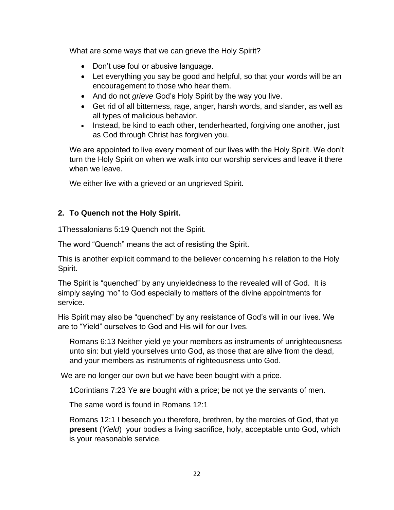What are some ways that we can grieve the Holy Spirit?

- Don't use foul or abusive language.
- Let everything you say be good and helpful, so that your words will be an encouragement to those who hear them.
- And do not *grieve* God's Holy Spirit by the way you live.
- Get rid of all bitterness, rage, anger, harsh words, and slander, as well as all types of malicious behavior.
- Instead, be kind to each other, tenderhearted, forgiving one another, just as God through Christ has forgiven you.

We are appointed to live every moment of our lives with the Holy Spirit. We don't turn the Holy Spirit on when we walk into our worship services and leave it there when we leave.

We either live with a grieved or an ungrieved Spirit.

### **2. To Quench not the Holy Spirit.**

1Thessalonians 5:19 Quench not the Spirit.

The word "Quench" means the act of resisting the Spirit.

This is another explicit command to the believer concerning his relation to the Holy Spirit.

The Spirit is "quenched" by any unyieldedness to the revealed will of God. It is simply saying "no" to God especially to matters of the divine appointments for service.

His Spirit may also be "quenched" by any resistance of God's will in our lives. We are to "Yield" ourselves to God and His will for our lives.

Romans 6:13 Neither yield ye your members as instruments of unrighteousness unto sin: but yield yourselves unto God, as those that are alive from the dead, and your members as instruments of righteousness unto God.

We are no longer our own but we have been bought with a price.

1Corintians 7:23 Ye are bought with a price; be not ye the servants of men.

The same word is found in Romans 12:1

Romans 12:1 I beseech you therefore, brethren, by the mercies of God, that ye **present** (*Yield*) your bodies a living sacrifice, holy, acceptable unto God, which is your reasonable service.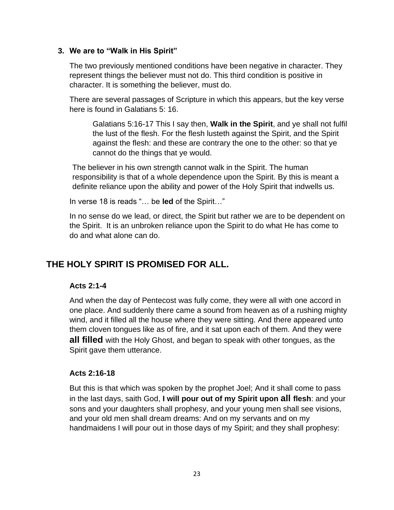#### **3. We are to "Walk in His Spirit"**

The two previously mentioned conditions have been negative in character. They represent things the believer must not do. This third condition is positive in character. It is something the believer, must do.

There are several passages of Scripture in which this appears, but the key verse here is found in Galatians 5: 16.

Galatians 5:16-17 This I say then, **Walk in the Spirit**, and ye shall not fulfil the lust of the flesh. For the flesh lusteth against the Spirit, and the Spirit against the flesh: and these are contrary the one to the other: so that ye cannot do the things that ye would.

The believer in his own strength cannot walk in the Spirit. The human responsibility is that of a whole dependence upon the Spirit. By this is meant a definite reliance upon the ability and power of the Holy Spirit that indwells us.

In verse 18 is reads "… be **led** of the Spirit…"

In no sense do we lead, or direct, the Spirit but rather we are to be dependent on the Spirit. It is an unbroken reliance upon the Spirit to do what He has come to do and what alone can do.

## **THE HOLY SPIRIT IS PROMISED FOR ALL.**

#### **Acts 2:1-4**

And when the day of Pentecost was fully come, they were all with one accord in one place. And suddenly there came a sound from heaven as of a rushing mighty wind, and it filled all the house where they were sitting. And there appeared unto them cloven tongues like as of fire, and it sat upon each of them. And they were **all filled** with the Holy Ghost, and began to speak with other tongues, as the Spirit gave them utterance.

#### **Acts 2:16-18**

But this is that which was spoken by the prophet Joel; And it shall come to pass in the last days, saith God, **I will pour out of my Spirit upon all flesh**: and your sons and your daughters shall prophesy, and your young men shall see visions, and your old men shall dream dreams: And on my servants and on my handmaidens I will pour out in those days of my Spirit; and they shall prophesy: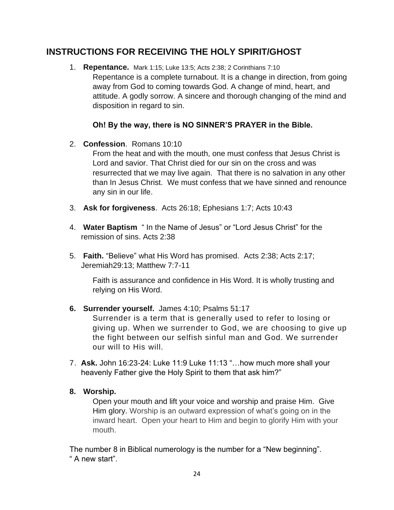# **INSTRUCTIONS FOR RECEIVING THE HOLY SPIRIT/GHOST**

1. **Repentance.** Mark 1:15; Luke 13:5; Acts 2:38; 2 Corinthians 7:10 Repentance is a complete turnabout. It is a change in direction, from going away from God to coming towards God. A change of mind, heart, and attitude. A godly sorrow. A sincere and thorough changing of the mind and disposition in regard to sin.

### **Oh! By the way, there is NO SINNER'S PRAYER in the Bible.**

2. **Confession**. Romans 10:10

From the heat and with the mouth, one must confess that Jesus Christ is Lord and savior. That Christ died for our sin on the cross and was resurrected that we may live again. That there is no salvation in any other than In Jesus Christ. We must confess that we have sinned and renounce any sin in our life.

- 3. **Ask for forgiveness**. Acts 26:18; Ephesians 1:7; Acts 10:43
- 4. **Water Baptism** " In the Name of Jesus" or "Lord Jesus Christ" for the remission of sins. Acts 2:38
- 5. **Faith.** "Believe" what His Word has promised. Acts 2:38; Acts 2:17; Jeremiah29:13; Matthew 7:7-11

Faith is assurance and confidence in His Word. It is wholly trusting and relying on His Word.

**6. Surrender yourself.** James 4:10; Psalms 51:17

Surrender is a term that is generally used to refer to losing or giving up. When we surrender to God, we are choosing to give up the fight between our selfish sinful man and God. We surrender our will to His will.

7. **Ask.** John 16:23-24: Luke 11:9 Luke 11:13 "…how much more shall your heavenly Father give the Holy Spirit to them that ask him?"

### **8. Worship.**

Open your mouth and lift your voice and worship and praise Him. Give Him glory. Worship is an outward expression of what's going on in the inward heart. Open your heart to Him and begin to glorify Him with your mouth.

The number 8 in Biblical numerology is the number for a "New beginning". " A new start".